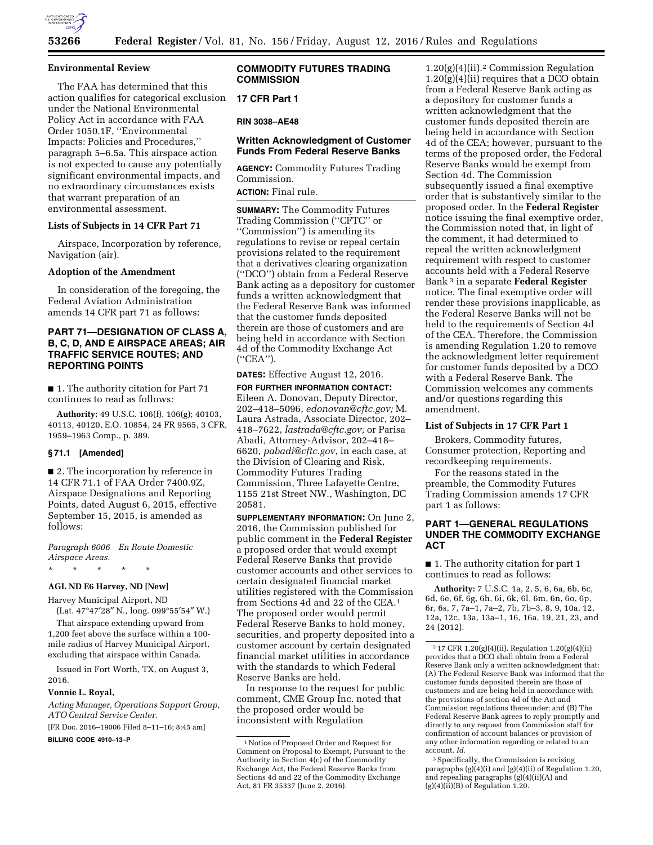

#### **Environmental Review**

The FAA has determined that this action qualifies for categorical exclusion under the National Environmental Policy Act in accordance with FAA Order 1050.1F, ''Environmental Impacts: Policies and Procedures,'' paragraph 5–6.5a. This airspace action is not expected to cause any potentially significant environmental impacts, and no extraordinary circumstances exists that warrant preparation of an environmental assessment.

## **Lists of Subjects in 14 CFR Part 71**

Airspace, Incorporation by reference, Navigation (air).

#### **Adoption of the Amendment**

In consideration of the foregoing, the Federal Aviation Administration amends 14 CFR part 71 as follows:

# **PART 71—DESIGNATION OF CLASS A, B, C, D, AND E AIRSPACE AREAS; AIR TRAFFIC SERVICE ROUTES; AND REPORTING POINTS**

■ 1. The authority citation for Part 71 continues to read as follows:

**Authority:** 49 U.S.C. 106(f), 106(g); 40103, 40113, 40120, E.O. 10854, 24 FR 9565, 3 CFR, 1959–1963 Comp., p. 389.

## **§ 71.1 [Amended]**

■ 2. The incorporation by reference in 14 CFR 71.1 of FAA Order 7400.9Z, Airspace Designations and Reporting Points, dated August 6, 2015, effective September 15, 2015, is amended as follows:

*Paragraph 6006 En Route Domestic Airspace Areas.* 

\* \* \* \* \*

# **AGL ND E6 Harvey, ND [New]**

Harvey Municipal Airport, ND (Lat. 47°47′28″ N., long. 099°55′54″ W.)

That airspace extending upward from 1,200 feet above the surface within a 100 mile radius of Harvey Municipal Airport, excluding that airspace within Canada.

Issued in Fort Worth, TX, on August 3, 2016.

#### **Vonnie L. Royal,**

*Acting Manager, Operations Support Group, ATO Central Service Center.* 

[FR Doc. 2016–19006 Filed 8–11–16; 8:45 am]

**BILLING CODE 4910–13–P** 

# **COMMODITY FUTURES TRADING COMMISSION**

**17 CFR Part 1** 

**RIN 3038–AE48** 

# **Written Acknowledgment of Customer Funds From Federal Reserve Banks**

**AGENCY:** Commodity Futures Trading Commission. **ACTION:** Final rule.

**SUMMARY:** The Commodity Futures Trading Commission (''CFTC'' or ''Commission'') is amending its regulations to revise or repeal certain provisions related to the requirement that a derivatives clearing organization (''DCO'') obtain from a Federal Reserve Bank acting as a depository for customer funds a written acknowledgment that the Federal Reserve Bank was informed that the customer funds deposited therein are those of customers and are being held in accordance with Section 4d of the Commodity Exchange Act (''CEA'').

## **DATES:** Effective August 12, 2016.

**FOR FURTHER INFORMATION CONTACT:**  Eileen A. Donovan, Deputy Director, 202–418–5096, *[edonovan@cftc.gov;](mailto:edonovan@cftc.gov)* M. Laura Astrada, Associate Director, 202– 418–7622, *[lastrada@cftc.gov;](mailto:lastrada@cftc.gov)* or Parisa Abadi, Attorney-Advisor, 202–418– 6620, *[pabadi@cftc.gov,](mailto:pabadi@cftc.gov)* in each case, at the Division of Clearing and Risk, Commodity Futures Trading Commission, Three Lafayette Centre, 1155 21st Street NW., Washington, DC 20581.

**SUPPLEMENTARY INFORMATION:** On June 2, 2016, the Commission published for public comment in the **Federal Register**  a proposed order that would exempt Federal Reserve Banks that provide customer accounts and other services to certain designated financial market utilities registered with the Commission from Sections 4d and 22 of the CEA.1 The proposed order would permit Federal Reserve Banks to hold money, securities, and property deposited into a customer account by certain designated financial market utilities in accordance with the standards to which Federal Reserve Banks are held.

In response to the request for public comment, CME Group Inc. noted that the proposed order would be inconsistent with Regulation

1.20(g)(4)(ii).2 Commission Regulation  $1.20(g)(4)(ii)$  requires that a DCO obtain from a Federal Reserve Bank acting as a depository for customer funds a written acknowledgment that the customer funds deposited therein are being held in accordance with Section 4d of the CEA; however, pursuant to the terms of the proposed order, the Federal Reserve Banks would be exempt from Section 4d. The Commission subsequently issued a final exemptive order that is substantively similar to the proposed order. In the **Federal Register**  notice issuing the final exemptive order, the Commission noted that, in light of the comment, it had determined to repeal the written acknowledgment requirement with respect to customer accounts held with a Federal Reserve Bank 3 in a separate **Federal Register**  notice. The final exemptive order will render these provisions inapplicable, as the Federal Reserve Banks will not be held to the requirements of Section 4d of the CEA. Therefore, the Commission is amending Regulation 1.20 to remove the acknowledgment letter requirement for customer funds deposited by a DCO with a Federal Reserve Bank. The Commission welcomes any comments and/or questions regarding this amendment.

## **List of Subjects in 17 CFR Part 1**

Brokers, Commodity futures, Consumer protection, Reporting and recordkeeping requirements.

For the reasons stated in the preamble, the Commodity Futures Trading Commission amends 17 CFR part 1 as follows:

# **PART 1—GENERAL REGULATIONS UNDER THE COMMODITY EXCHANGE ACT**

■ 1. The authority citation for part 1 continues to read as follows:

**Authority:** 7 U.S.C. 1a, 2, 5, 6, 6a, 6b, 6c, 6d, 6e, 6f, 6g, 6h, 6i, 6k, 6l, 6m, 6n, 6o, 6p, 6r, 6s, 7, 7a–1, 7a–2, 7b, 7b–3, 8, 9, 10a, 12, 12a, 12c, 13a, 13a–1, 16, 16a, 19, 21, 23, and 24 (2012).

3Specifically, the Commission is revising paragraphs (g)(4)(i) and (g)(4)(ii) of Regulation 1.20, and repealing paragraphs (g)(4)(ii)(A) and (g)(4)(ii)(B) of Regulation 1.20.

<sup>1</sup>Notice of Proposed Order and Request for Comment on Proposal to Exempt, Pursuant to the Authority in Section 4(c) of the Commodity Exchange Act, the Federal Reserve Banks from Sections 4d and 22 of the Commodity Exchange Act, 81 FR 35337 (June 2, 2016).

 $217$  CFR 1.20(g)(4)(ii). Regulation 1.20(g)(4)(ii) provides that a DCO shall obtain from a Federal Reserve Bank only a written acknowledgment that: (A) The Federal Reserve Bank was informed that the customer funds deposited therein are those of customers and are being held in accordance with the provisions of section 4d of the Act and Commission regulations thereunder; and (B) The Federal Reserve Bank agrees to reply promptly and directly to any request from Commission staff for confirmation of account balances or provision of any other information regarding or related to an account. *Id.*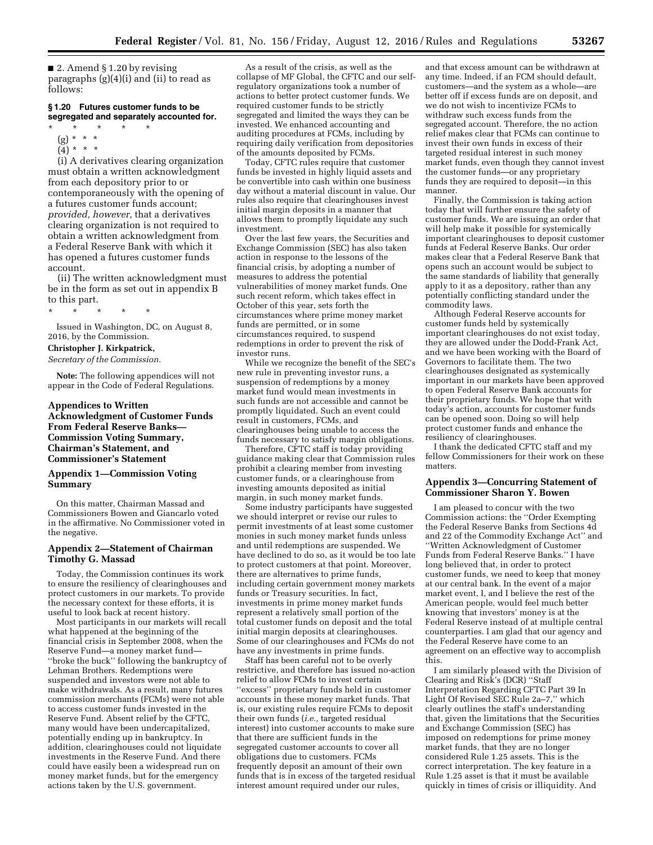■ 2. Amend § 1.20 by revising paragraphs (g)(4)(i) and (ii) to read as follows:

## **§ 1.20 Futures customer funds to be segregated and separately accounted for.**

- \* \* \* \* \*
	- (g) \* \* \*
	- $(4) * * *$

(i) A derivatives clearing organization must obtain a written acknowledgment from each depository prior to or contemporaneously with the opening of a futures customer funds account; *provided, however,* that a derivatives clearing organization is not required to obtain a written acknowledgment from a Federal Reserve Bank with which it has opened a futures customer funds account.

(ii) The written acknowledgment must be in the form as set out in appendix B to this part.

\* \* \* \* \*

Issued in Washington, DC, on August 8, 2016, by the Commission.

#### **Christopher J. Kirkpatrick,**

*Secretary of the Commission.* 

**Note:** The following appendices will not appear in the Code of Federal Regulations.

## **Appendices to Written Acknowledgment of Customer Funds From Federal Reserve Banks— Commission Voting Summary, Chairman's Statement, and Commissioner's Statement**

## **Appendix 1—Commission Voting Summary**

On this matter, Chairman Massad and Commissioners Bowen and Giancarlo voted in the affirmative. No Commissioner voted in the negative.

#### **Appendix 2—Statement of Chairman Timothy G. Massad**

Today, the Commission continues its work to ensure the resiliency of clearinghouses and protect customers in our markets. To provide the necessary context for these efforts, it is useful to look back at recent history.

Most participants in our markets will recall what happened at the beginning of the financial crisis in September 2008, when the Reserve Fund—a money market fund— ''broke the buck'' following the bankruptcy of Lehman Brothers. Redemptions were suspended and investors were not able to make withdrawals. As a result, many futures commission merchants (FCMs) were not able to access customer funds invested in the Reserve Fund. Absent relief by the CFTC, many would have been undercapitalized, potentially ending up in bankruptcy. In addition, clearinghouses could not liquidate investments in the Reserve Fund. And there could have easily been a widespread run on money market funds, but for the emergency actions taken by the U.S. government.

As a result of the crisis, as well as the collapse of MF Global, the CFTC and our selfregulatory organizations took a number of actions to better protect customer funds. We required customer funds to be strictly segregated and limited the ways they can be invested. We enhanced accounting and auditing procedures at FCMs, including by requiring daily verification from depositories of the amounts deposited by FCMs.

Today, CFTC rules require that customer funds be invested in highly liquid assets and be convertible into cash within one business day without a material discount in value. Our rules also require that clearinghouses invest initial margin deposits in a manner that allows them to promptly liquidate any such investment.

Over the last few years, the Securities and Exchange Commission (SEC) has also taken action in response to the lessons of the financial crisis, by adopting a number of measures to address the potential vulnerabilities of money market funds. One such recent reform, which takes effect in October of this year, sets forth the circumstances where prime money market funds are permitted, or in some circumstances required, to suspend redemptions in order to prevent the risk of investor runs.

While we recognize the benefit of the SEC's new rule in preventing investor runs, a suspension of redemptions by a money market fund would mean investments in such funds are not accessible and cannot be promptly liquidated. Such an event could result in customers, FCMs, and clearinghouses being unable to access the funds necessary to satisfy margin obligations.

Therefore, CFTC staff is today providing guidance making clear that Commission rules prohibit a clearing member from investing customer funds, or a clearinghouse from investing amounts deposited as initial margin, in such money market funds.

Some industry participants have suggested we should interpret or revise our rules to permit investments of at least some customer monies in such money market funds unless and until redemptions are suspended. We have declined to do so, as it would be too late to protect customers at that point. Moreover, there are alternatives to prime funds, including certain government money markets funds or Treasury securities. In fact, investments in prime money market funds represent a relatively small portion of the total customer funds on deposit and the total initial margin deposits at clearinghouses. Some of our clearinghouses and FCMs do not have any investments in prime funds.

Staff has been careful not to be overly restrictive, and therefore has issued no-action relief to allow FCMs to invest certain ''excess'' proprietary funds held in customer accounts in these money market funds. That is, our existing rules require FCMs to deposit their own funds (*i.e.,* targeted residual interest) into customer accounts to make sure that there are sufficient funds in the segregated customer accounts to cover all obligations due to customers. FCMs frequently deposit an amount of their own funds that is in excess of the targeted residual interest amount required under our rules,

and that excess amount can be withdrawn at any time. Indeed, if an FCM should default, customers—and the system as a whole—are better off if excess funds are on deposit, and we do not wish to incentivize FCMs to withdraw such excess funds from the segregated account. Therefore, the no action relief makes clear that FCMs can continue to invest their own funds in excess of their targeted residual interest in such money market funds, even though they cannot invest the customer funds—or any proprietary funds they are required to deposit—in this manner.

Finally, the Commission is taking action today that will further ensure the safety of customer funds. We are issuing an order that will help make it possible for systemically important clearinghouses to deposit customer funds at Federal Reserve Banks. Our order makes clear that a Federal Reserve Bank that opens such an account would be subject to the same standards of liability that generally apply to it as a depository, rather than any potentially conflicting standard under the commodity laws.

Although Federal Reserve accounts for customer funds held by systemically important clearinghouses do not exist today, they are allowed under the Dodd-Frank Act, and we have been working with the Board of Governors to facilitate them. The two clearinghouses designated as systemically important in our markets have been approved to open Federal Reserve Bank accounts for their proprietary funds. We hope that with today's action, accounts for customer funds can be opened soon. Doing so will help protect customer funds and enhance the resiliency of clearinghouses.

I thank the dedicated CFTC staff and my fellow Commissioners for their work on these matters.

## **Appendix 3—Concurring Statement of Commissioner Sharon Y. Bowen**

I am pleased to concur with the two Commission actions: the ''Order Exempting the Federal Reserve Banks from Sections 4d and 22 of the Commodity Exchange Act'' and ''Written Acknowledgment of Customer Funds from Federal Reserve Banks.'' I have long believed that, in order to protect customer funds, we need to keep that money at our central bank. In the event of a major market event, I, and I believe the rest of the American people, would feel much better knowing that investors' money is at the Federal Reserve instead of at multiple central counterparties. I am glad that our agency and the Federal Reserve have come to an agreement on an effective way to accomplish this.

I am similarly pleased with the Division of Clearing and Risk's (DCR) ''Staff Interpretation Regarding CFTC Part 39 In Light Of Revised SEC Rule 2a–7,'' which clearly outlines the staff's understanding that, given the limitations that the Securities and Exchange Commission (SEC) has imposed on redemptions for prime money market funds, that they are no longer considered Rule 1.25 assets. This is the correct interpretation. The key feature in a Rule 1.25 asset is that it must be available quickly in times of crisis or illiquidity. And